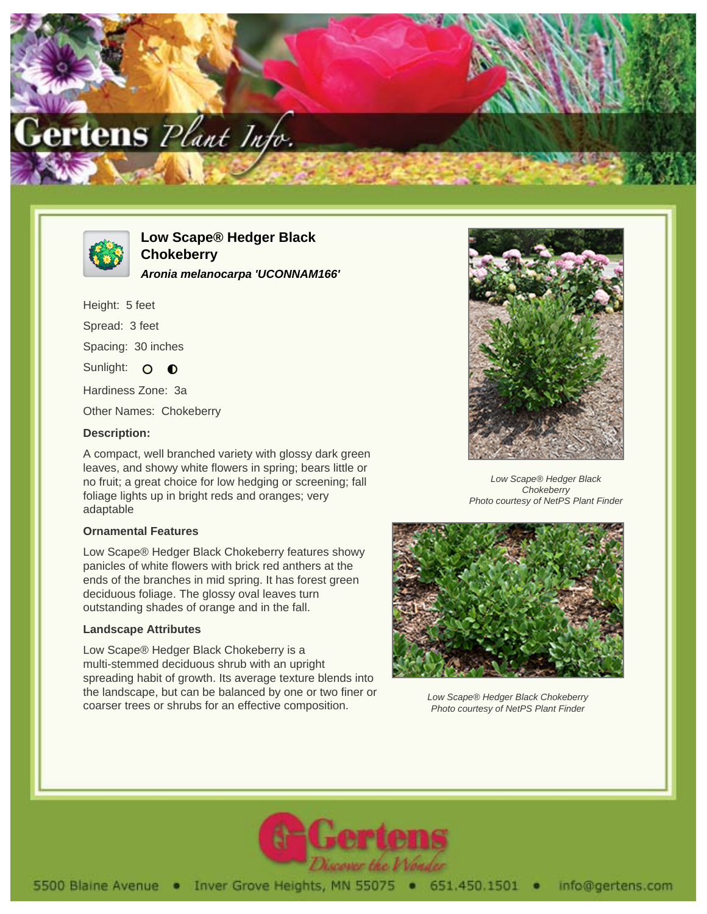



# **Low Scape® Hedger Black Chokeberry Aronia melanocarpa 'UCONNAM166'**

Height: 5 feet Spread: 3 feet Spacing: 30 inches Sunlight: O  $\bullet$ Hardiness Zone: 3a

Other Names: Chokeberry

#### **Description:**

A compact, well branched variety with glossy dark green leaves, and showy white flowers in spring; bears little or no fruit; a great choice for low hedging or screening; fall foliage lights up in bright reds and oranges; very adaptable

#### **Ornamental Features**

Low Scape® Hedger Black Chokeberry features showy panicles of white flowers with brick red anthers at the ends of the branches in mid spring. It has forest green deciduous foliage. The glossy oval leaves turn outstanding shades of orange and in the fall.

## **Landscape Attributes**

Low Scape® Hedger Black Chokeberry is a multi-stemmed deciduous shrub with an upright spreading habit of growth. Its average texture blends into the landscape, but can be balanced by one or two finer or coarser trees or shrubs for an effective composition.



Low Scape® Hedger Black **Chokeberry** Photo courtesy of NetPS Plant Finder



Low Scape® Hedger Black Chokeberry Photo courtesy of NetPS Plant Finder